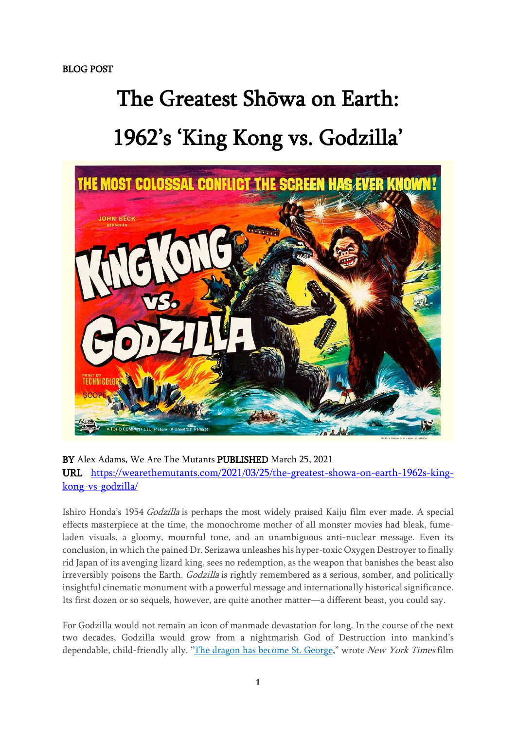## The Greatest Shōwa on Earth: 1962's 'King Kong vs. Godzilla'



BY Alex Adams, We Are The Mutants PUBLISHED March 25, 2021 URL [https://wearethemutants.com/2021/03/25/the-greatest-showa-on-earth-1962s-king](https://wearethemutants.com/2021/03/25/the-greatest-showa-on-earth-1962s-king-kong-vs-godzilla/)[kong-vs-godzilla/](https://wearethemutants.com/2021/03/25/the-greatest-showa-on-earth-1962s-king-kong-vs-godzilla/)

Ishiro Honda's 1954 Godzilla is perhaps the most widely praised Kaiju film ever made. A special effects masterpiece at the time, the monochrome mother of all monster movies had bleak, fumeladen visuals, a gloomy, mournful tone, and an unambiguous anti-nuclear message. Even its conclusion, in which the pained Dr. Serizawa unleashes his hyper-toxic Oxygen Destroyerto finally rid Japan of its avenging lizard king, sees no redemption, as the weapon that banishes the beast also irreversibly poisons the Earth. Godzilla is rightly remembered as a serious, somber, and politically insightful cinematic monument with a powerful message and internationally historical significance. Its first dozen or so sequels, however, are quite another matter—a different beast, you could say.

For Godzilla would not remain an icon of manmade devastation for long. In the course of the next two decades, Godzilla would grow from a nightmarish God of Destruction into mankind's dependable, child-friendly ally. "The dragon has [become](https://www.nytimes.com/1976/07/22/archives/another-godzilla-movie-monster-is-now-a-good-guy.html) St. George," wrote New York Times film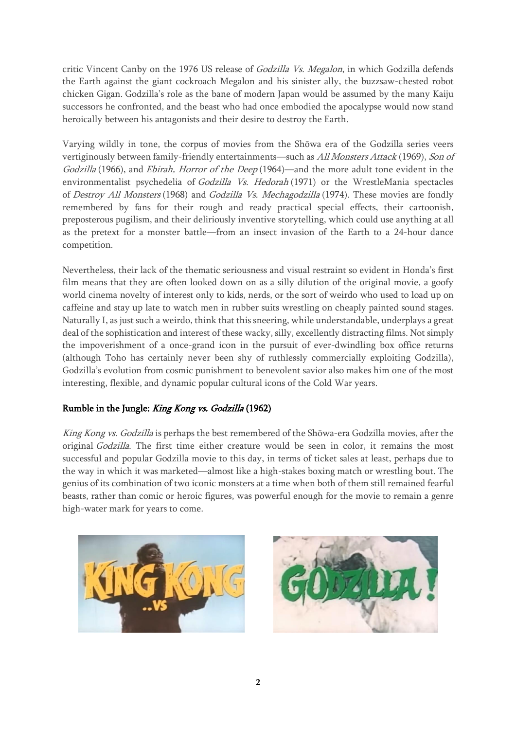critic Vincent Canby on the 1976 US release of *Godzilla Vs. Megalon*, in which Godzilla defends the Earth against the giant cockroach Megalon and his sinister ally, the buzzsaw-chested robot chicken Gigan. Godzilla's role as the bane of modern Japan would be assumed by the many Kaiju successors he confronted, and the beast who had once embodied the apocalypse would now stand heroically between his antagonists and their desire to destroy the Earth.

Varying wildly in tone, the corpus of movies from the Shōwa era of the Godzilla series veers vertiginously between family-friendly entertainments—such as All Monsters Attack (1969), Son of Godzilla (1966), and Ebirah, Horror of the Deep (1964)—and the more adult tone evident in the environmentalist psychedelia of Godzilla Vs. Hedorah (1971) or the WrestleMania spectacles of Destroy All Monsters (1968) and Godzilla Vs. Mechagodzilla (1974). These movies are fondly remembered by fans for their rough and ready practical special effects, their cartoonish, preposterous pugilism, and their deliriously inventive storytelling, which could use anything at all as the pretext for a monster battle—from an insect invasion of the Earth to a 24-hour dance competition.

Nevertheless, their lack of the thematic seriousness and visual restraint so evident in Honda's first film means that they are often looked down on as a silly dilution of the original movie, a goofy world cinema novelty of interest only to kids, nerds, or the sort of weirdo who used to load up on caffeine and stay up late to watch men in rubber suits wrestling on cheaply painted sound stages. Naturally I, as just such a weirdo, think that this sneering, while understandable, underplays a great deal of the sophistication and interest of these wacky, silly, excellently distracting films. Not simply the impoverishment of a once-grand icon in the pursuit of ever-dwindling box office returns (although Toho has certainly never been shy of ruthlessly commercially exploiting Godzilla), Godzilla's evolution from cosmic punishment to benevolent savior also makes him one of the most interesting, flexible, and dynamic popular cultural icons of the Cold War years.

## Rumble in the Jungle: King Kong vs. Godzilla (1962)

King Kong vs. Godzilla is perhaps the best remembered of the Shōwa-era Godzilla movies, after the original Godzilla. The first time either creature would be seen in color, it remains the most successful and popular Godzilla movie to this day, in terms of ticket sales at least, perhaps due to the way in which it was marketed—almost like a high-stakes boxing match or wrestling bout. The genius of its combination of two iconic monsters at a time when both of them still remained fearful beasts, rather than comic or heroic figures, was powerful enough for the movie to remain a genre high-water mark for years to come.



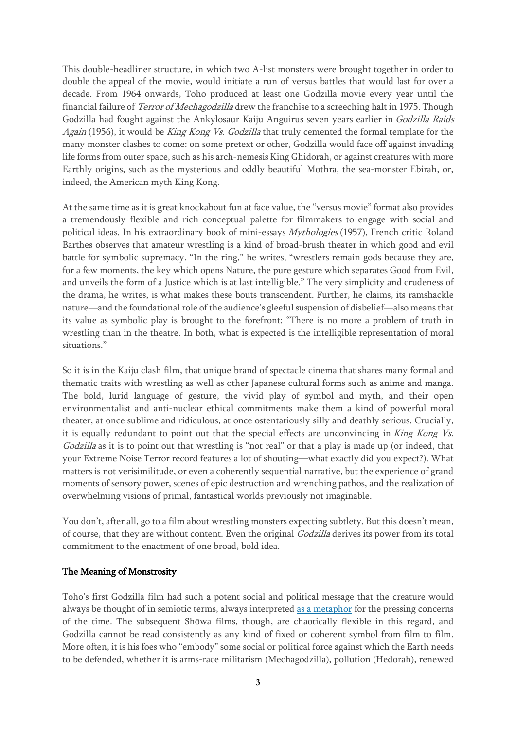This double-headliner structure, in which two A-list monsters were brought together in order to double the appeal of the movie, would initiate a run of versus battles that would last for over a decade. From 1964 onwards, Toho produced at least one Godzilla movie every year until the financial failure of *Terror of Mechagodzilla* drew the franchise to a screeching halt in 1975. Though Godzilla had fought against the Ankylosaur Kaiju Anguirus seven years earlier in Godzilla Raids Again (1956), it would be King Kong Vs. Godzilla that truly cemented the formal template for the many monster clashes to come: on some pretext or other, Godzilla would face off against invading life forms from outer space, such as his arch-nemesis King Ghidorah, or against creatures with more Earthly origins, such as the mysterious and oddly beautiful Mothra, the sea-monster Ebirah, or, indeed, the American myth King Kong.

At the same time as it is great knockabout fun at face value, the "versus movie" format also provides a tremendously flexible and rich conceptual palette for filmmakers to engage with social and political ideas. In his extraordinary book of mini-essays Mythologies (1957), French critic Roland Barthes observes that amateur wrestling is a kind of broad-brush theater in which good and evil battle for symbolic supremacy. "In the ring," he writes, "wrestlers remain gods because they are, for a few moments, the key which opens Nature, the pure gesture which separates Good from Evil, and unveils the form of a Justice which is at last intelligible." The very simplicity and crudeness of the drama, he writes, is what makes these bouts transcendent. Further, he claims, its ramshackle nature—and the foundational role of the audience's gleeful suspension of disbelief—also means that its value as symbolic play is brought to the forefront: "There is no more a problem of truth in wrestling than in the theatre. In both, what is expected is the intelligible representation of moral situations."

So it is in the Kaiju clash film, that unique brand of spectacle cinema that shares many formal and thematic traits with wrestling as well as other Japanese cultural forms such as anime and manga. The bold, lurid language of gesture, the vivid play of symbol and myth, and their open environmentalist and anti-nuclear ethical commitments make them a kind of powerful moral theater, at once sublime and ridiculous, at once ostentatiously silly and deathly serious. Crucially, it is equally redundant to point out that the special effects are unconvincing in King Kong Vs. Godzilla as it is to point out that wrestling is "not real" or that a play is made up (or indeed, that your Extreme Noise Terror record features a lot of shouting—what exactly did you expect?). What matters is not verisimilitude, or even a coherently sequential narrative, but the experience of grand moments of sensory power, scenes of epic destruction and wrenching pathos, and the realization of overwhelming visions of primal, fantastical worlds previously not imaginable.

You don't, after all, go to a film about wrestling monsters expecting subtlety. But this doesn't mean, of course, that they are without content. Even the original Godzilla derives its power from its total commitment to the enactment of one broad, bold idea.

## The Meaning of Monstrosity

Toho's first Godzilla film had such a potent social and political message that the creature would always be thought of in semiotic terms, always interpreted as a [metaphor](https://www.vulture.com/2014/05/godzilla-meaning-monster-metaphors.html) for the pressing concerns of the time. The subsequent Shōwa films, though, are chaotically flexible in this regard, and Godzilla cannot be read consistently as any kind of fixed or coherent symbol from film to film. More often, it is his foes who "embody" some social or political force against which the Earth needs to be defended, whether it is arms-race militarism (Mechagodzilla), pollution (Hedorah), renewed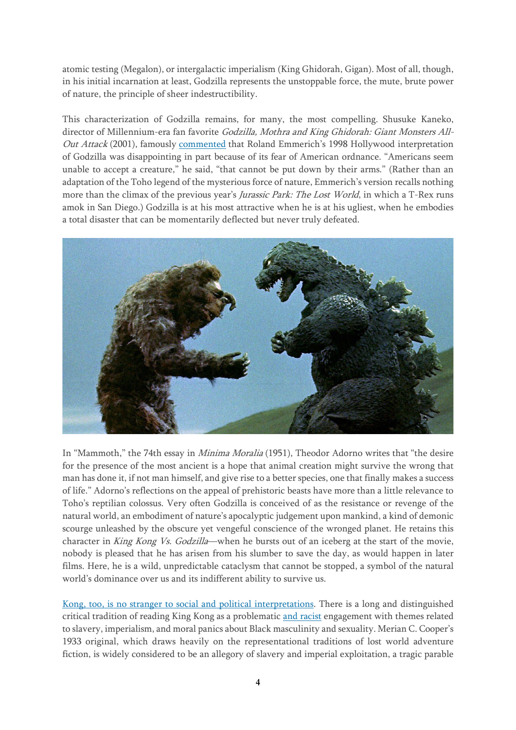atomic testing (Megalon), or intergalactic imperialism (King Ghidorah, Gigan). Most of all, though, in his initial incarnation at least, Godzilla represents the unstoppable force, the mute, brute power of nature, the principle of sheer indestructibility.

This characterization of Godzilla remains, for many, the most compelling. Shusuke Kaneko, director of Millennium-era fan favorite Godzilla, Mothra and King Ghidorah: Giant Monsters All-Out Attack (2001), famously [commented](https://web.archive.org/web/20131015195729/http:/expressindia.indianexpress.com/news/ie/daily/19980711/19250874.html) that Roland Emmerich's 1998 Hollywood interpretation of Godzilla was disappointing in part because of its fear of American ordnance. "Americans seem unable to accept a creature," he said, "that cannot be put down by their arms." (Rather than an adaptation of the Toho legend of the mysterious force of nature, Emmerich's version recalls nothing more than the climax of the previous year's Jurassic Park: The Lost World, in which a T-Rex runs amok in San Diego.) Godzilla is at his most attractive when he is at his ugliest, when he embodies a total disaster that can be momentarily deflected but never truly defeated.



In "Mammoth," the 74th essay in Minima Moralia (1951), Theodor Adorno writes that "the desire for the presence of the most ancient is a hope that animal creation might survive the wrong that man has done it, if not man himself, and give rise to a better species, one that finally makes a success of life." Adorno's reflections on the appeal of prehistoric beasts have more than a little relevance to Toho's reptilian colossus. Very often Godzilla is conceived of as the resistance or revenge of the natural world, an embodiment of nature's apocalyptic judgement upon mankind, a kind of demonic scourge unleashed by the obscure yet vengeful conscience of the wronged planet. He retains this character in King Kong Vs. Godzilla—when he bursts out of an iceberg at the start of the movie, nobody is pleased that he has arisen from his slumber to save the day, as would happen in later films. Here, he is a wild, unpredictable cataclysm that cannot be stopped, a symbol of the natural world's dominance over us and its indifferent ability to survive us.

Kong, too, is no stranger to social and political [interpretations.](https://www.vanityfair.com/hollywood/2017/03/king-kong-skull-island-movies-metaphors) There is a long and distinguished critical tradition of reading King Kong as a problematic and [racist](https://www.thetimes.co.uk/article/big-black-and-bad-stereotyping-bfp57hdjdsm) engagement with themes related to slavery, imperialism, and moral panics about Black masculinity and sexuality. Merian C. Cooper's 1933 original, which draws heavily on the representational traditions of lost world adventure fiction, is widely considered to be an allegory of slavery and imperial exploitation, a tragic parable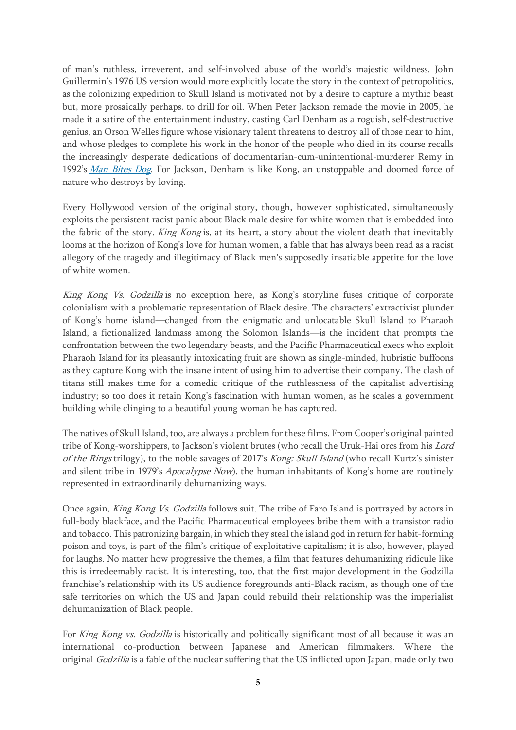of man's ruthless, irreverent, and self-involved abuse of the world's majestic wildness. John Guillermin's 1976 US version would more explicitly locate the story in the context of petropolitics, as the colonizing expedition to Skull Island is motivated not by a desire to capture a mythic beast but, more prosaically perhaps, to drill for oil. When Peter Jackson remade the movie in 2005, he made it a satire of the entertainment industry, casting Carl Denham as a roguish, self-destructive genius, an Orson Welles figure whose visionary talent threatens to destroy all of those near to him, and whose pledges to complete his work in the honor of the people who died in its course recalls the increasingly desperate dedications of documentarian-cum-unintentional-murderer Remy in 1992's Man Bites [Dog](https://www.criterion.com/current/posts/221-man-bites-dog-cinema-of-entrapment). For Jackson, Denham is like Kong, an unstoppable and doomed force of nature who destroys by loving.

Every Hollywood version of the original story, though, however sophisticated, simultaneously exploits the persistent racist panic about Black male desire for white women that is embedded into the fabric of the story. King Kong is, at its heart, a story about the violent death that inevitably looms at the horizon of Kong's love for human women, a fable that has always been read as a racist allegory of the tragedy and illegitimacy of Black men's supposedly insatiable appetite for the love of white women.

King Kong Vs. Godzilla is no exception here, as Kong's storyline fuses critique of corporate colonialism with a problematic representation of Black desire. The characters' extractivist plunder of Kong's home island—changed from the enigmatic and unlocatable Skull Island to Pharaoh Island, a fictionalized landmass among the Solomon Islands—is the incident that prompts the confrontation between the two legendary beasts, and the Pacific Pharmaceutical execs who exploit Pharaoh Island for its pleasantly intoxicating fruit are shown as single-minded, hubristic buffoons as they capture Kong with the insane intent of using him to advertise their company. The clash of titans still makes time for a comedic critique of the ruthlessness of the capitalist advertising industry; so too does it retain Kong's fascination with human women, as he scales a government building while clinging to a beautiful young woman he has captured.

The natives of Skull Island, too, are always a problem for these films. From Cooper's original painted tribe of Kong-worshippers, to Jackson's violent brutes (who recall the Uruk-Hai orcs from his Lord of the Rings trilogy), to the noble savages of 2017's Kong: Skull Island (who recall Kurtz's sinister and silent tribe in 1979's *Apocalypse Now*), the human inhabitants of Kong's home are routinely represented in extraordinarily dehumanizing ways.

Once again, King Kong Vs. Godzilla follows suit. The tribe of Faro Island is portrayed by actors in full-body blackface, and the Pacific Pharmaceutical employees bribe them with a transistor radio and tobacco. This patronizing bargain, in which they steal the island god in return for habit-forming poison and toys, is part of the film's critique of exploitative capitalism; it is also, however, played for laughs. No matter how progressive the themes, a film that features dehumanizing ridicule like this is irredeemably racist. It is interesting, too, that the first major development in the Godzilla franchise's relationship with its US audience foregrounds anti-Black racism, as though one of the safe territories on which the US and Japan could rebuild their relationship was the imperialist dehumanization of Black people.

For King Kong vs. Godzilla is historically and politically significant most of all because it was an international co-production between Japanese and American filmmakers. Where the original Godzilla is a fable of the nuclear suffering that the US inflicted upon Japan, made only two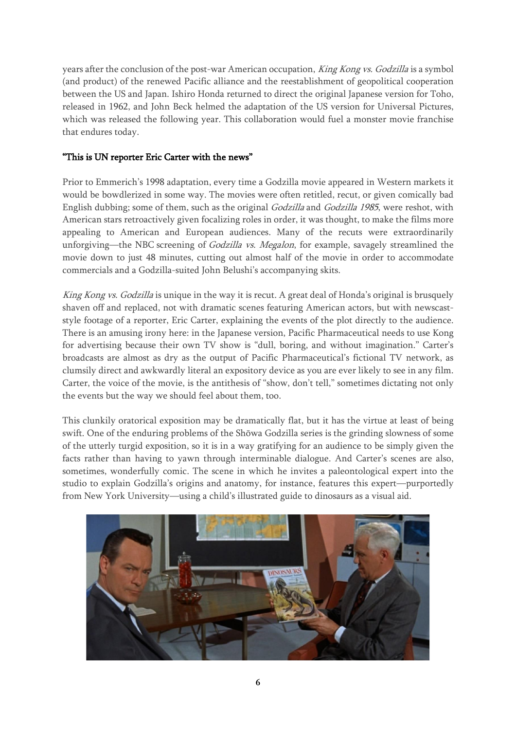years after the conclusion of the post-war American occupation, King Kong vs. Godzilla is a symbol (and product) of the renewed Pacific alliance and the reestablishment of geopolitical cooperation between the US and Japan. Ishiro Honda returned to direct the original Japanese version for Toho, released in 1962, and John Beck helmed the adaptation of the US version for Universal Pictures, which was released the following year. This collaboration would fuel a monster movie franchise that endures today.

## "This is UN reporter Eric Carter with the news"

Prior to Emmerich's 1998 adaptation, every time a Godzilla movie appeared in Western markets it would be bowdlerized in some way. The movies were often retitled, recut, or given comically bad English dubbing; some of them, such as the original Godzilla and Godzilla 1985, were reshot, with American stars retroactively given focalizing roles in order, it was thought, to make the films more appealing to American and European audiences. Many of the recuts were extraordinarily unforgiving—the NBC screening of Godzilla vs. Megalon, for example, savagely streamlined the movie down to just 48 minutes, cutting out almost half of the movie in order to accommodate commercials and a Godzilla-suited John Belushi's accompanying skits.

King Kong vs. Godzilla is unique in the way it is recut. A great deal of Honda's original is brusquely shaven off and replaced, not with dramatic scenes featuring American actors, but with newscaststyle footage of a reporter, Eric Carter, explaining the events of the plot directly to the audience. There is an amusing irony here: in the Japanese version, Pacific Pharmaceutical needs to use Kong for advertising because their own TV show is "dull, boring, and without imagination." Carter's broadcasts are almost as dry as the output of Pacific Pharmaceutical's fictional TV network, as clumsily direct and awkwardly literal an expository device as you are ever likely to see in any film. Carter, the voice of the movie, is the antithesis of "show, don't tell," sometimes dictating not only the events but the way we should feel about them, too.

This clunkily oratorical exposition may be dramatically flat, but it has the virtue at least of being swift. One of the enduring problems of the Shōwa Godzilla series is the grinding slowness of some of the utterly turgid exposition, so it is in a way gratifying for an audience to be simply given the facts rather than having to yawn through interminable dialogue. And Carter's scenes are also, sometimes, wonderfully comic. The scene in which he invites a paleontological expert into the studio to explain Godzilla's origins and anatomy, for instance, features this expert—purportedly from New York University—using a child's illustrated guide to dinosaurs as a visual aid.